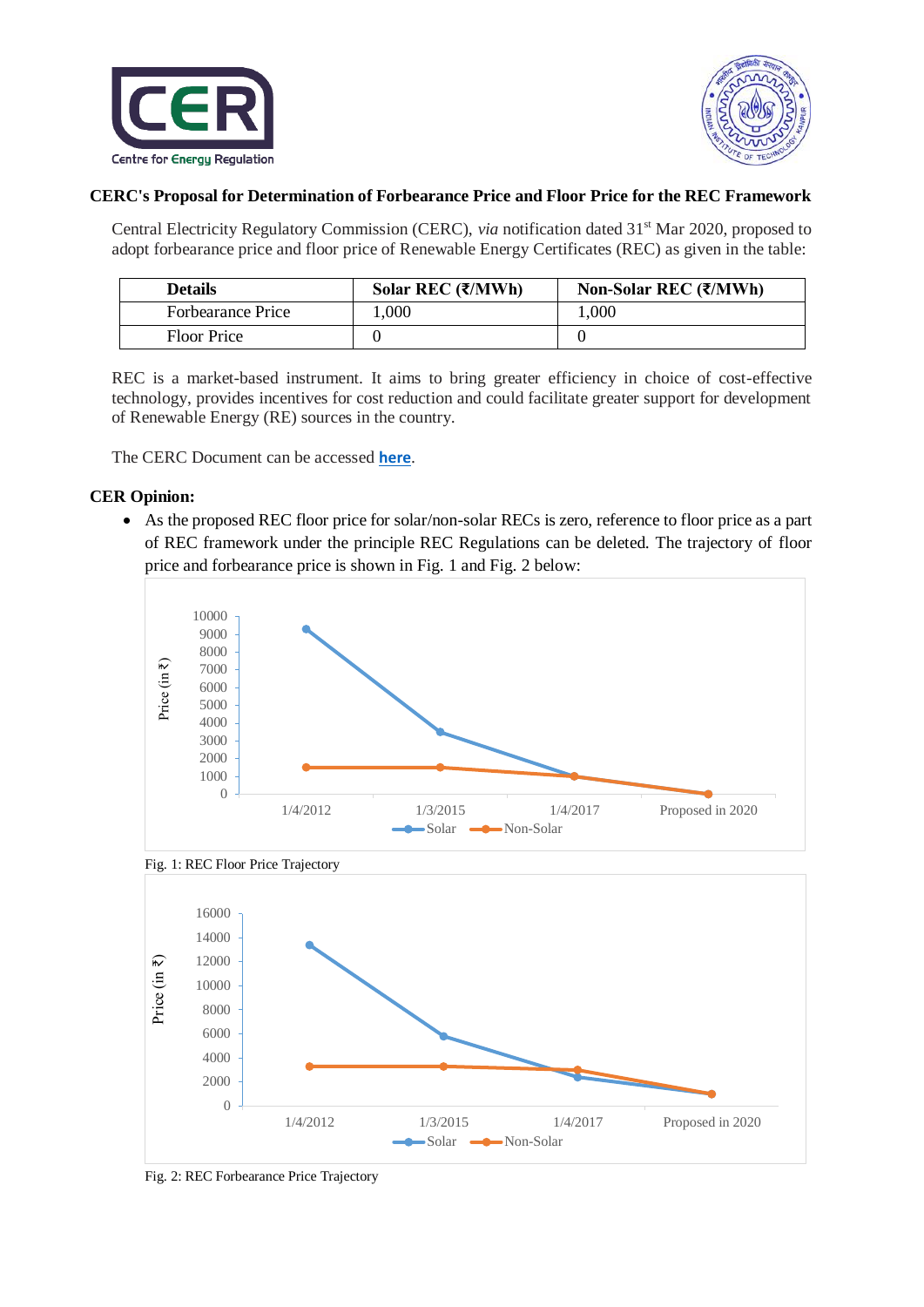



## **CERC's Proposal for Determination of Forbearance Price and Floor Price for the REC Framework**

Central Electricity Regulatory Commission (CERC), *via* notification dated 31<sup>st</sup> Mar 2020, proposed to adopt forbearance price and floor price of Renewable Energy Certificates (REC) as given in the table:

| <b>Details</b>           | Solar REC $(\overline{\mathbf{\xi}}/MWh)$ | Non-Solar REC $(\overline{\mathbf{\zeta}}/MWh)$ |
|--------------------------|-------------------------------------------|-------------------------------------------------|
| <b>Forbearance Price</b> | .000.                                     | 000.1                                           |
| <b>Floor Price</b>       |                                           |                                                 |

REC is a market-based instrument. It aims to bring greater efficiency in choice of cost-effective technology, provides incentives for cost reduction and could facilitate greater support for development of Renewable Energy (RE) sources in the country.

The CERC Document can be accessed **[here](http://www.cercind.gov.in/2020/orders/5-SM-2020.pdf)**.

## **CER Opinion:**

 As the proposed REC floor price for solar/non-solar RECs is zero, reference to floor price as a part of REC framework under the principle REC Regulations can be deleted. The trajectory of floor price and forbearance price is shown in Fig. 1 and Fig. 2 below:





Fig. 2: REC Forbearance Price Trajectory

Fig. 1: REC Floor Price Trajectory